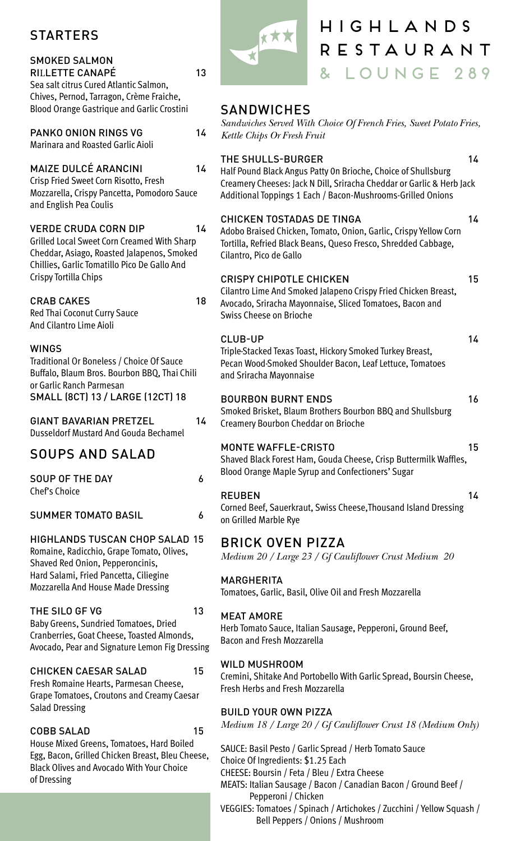# STARTERS

#### SMOKED SALMON RILLETTE CANAPÉ

Sea salt citrus Cured Atlantic Salmon, Chives, Pernod, Tarragon, Crème Fraiche, Blood Orange Gastrique and Garlic Crostini

# PANKO ONION RINGS VG

Marinara and Roasted Garlic Aioli

### MAIZE DULCÉ ARANCINI 14

Crisp Fried Sweet Corn Risotto, Fresh Mozzarella, Crispy Pancetta, Pomodoro Sauce and English Pea Coulis

# VERDE CRUDA CORN DIP 14

Grilled Local Sweet Corn Creamed With Sharp Cheddar, Asiago, Roasted Jalapenos, Smoked Chillies, Garlic Tomatillo Pico De Gallo And Crispy Tortilla Chips

# CRAB CAKES 18

Red Thai Coconut Curry Sauce And Cilantro Lime Aioli

#### WINGS

Traditional Or Boneless / Choice Of Sauce Buffalo, Blaum Bros. Bourbon BBQ, Thai Chili or Garlic Ranch Parmesan SMALL (8CT) 13 / LARGE (12CT) 18

GIANT BAVARIAN PRETZEL<sub>14</sub> Dusseldorf Mustard And Gouda Bechamel

# SOUPS AND SALAD

SOUP OF THE DAY 6 Chef's Choice

#### SUMMER TOMATO BASIL 6

#### HIGHLANDS TUSCAN CHOP SALAD 15

Romaine, Radicchio, Grape Tomato, Olives, Shaved Red Onion, Pepperoncinis, Hard Salami, Fried Pancetta, Ciliegine Mozzarella And House Made Dressing

#### THE SILO GF VG 13

Baby Greens, Sundried Tomatoes, Dried Cranberries, Goat Cheese, Toasted Almonds, Avocado, Pear and Signature Lemon Fig Dressing

#### CHICKEN CAESAR SALAD 15

Fresh Romaine Hearts, Parmesan Cheese, Grape Tomatoes, Croutons and Creamy Caesar Salad Dressing

#### COBB SALAD 15

House Mixed Greens, Tomatoes, Hard Boiled Egg, Bacon, Grilled Chicken Breast, Bleu Cheese, Black Olives and Avocado With Your Choice of Dressing



13

14

# HIGHLANDS RESTAURANT & LOUNGE 289

14

15

14

16

# **SANDWICHES**

*Sandwiches Served With Choice Of French Fries, Sweet Potato Fries, Kettle Chips Or Fresh Fruit*

#### THE SHULLS-BURGER 14

Half Pound Black Angus Patty 0n Brioche, Choice of Shullsburg Creamery Cheeses: Jack N Dill, Sriracha Cheddar or Garlic & Herb Jack Additional Toppings 1 Each / Bacon-Mushrooms-Grilled Onions

#### CHICKEN TOSTADAS DE TINGA

Adobo Braised Chicken, Tomato, Onion, Garlic, Crispy Yellow Corn Tortilla, Refried Black Beans, Queso Fresco, Shredded Cabbage, Cilantro, Pico de Gallo

#### CRISPY CHIPOTLE CHICKEN

Cilantro Lime And Smoked Jalapeno Crispy Fried Chicken Breast, Avocado, Sriracha Mayonnaise, Sliced Tomatoes, Bacon and Swiss Cheese on Brioche

#### CLUB-UP

Triple-Stacked Texas Toast, Hickory Smoked Turkey Breast, Pecan Wood-Smoked Shoulder Bacon, Leaf Lettuce, Tomatoes and Sriracha Mayonnaise

#### BOURBON BURNT ENDS

Smoked Brisket, Blaum Brothers Bourbon BBQ and Shullsburg Creamery Bourbon Cheddar on Brioche

#### MONTE WAFFLE-CRISTO

15 Shaved Black Forest Ham, Gouda Cheese, Crisp Buttermilk Waffles, Blood Orange Maple Syrup and Confectioners' Sugar

#### REUBEN

14 Corned Beef, Sauerkraut, Swiss Cheese,Thousand Island Dressing on Grilled Marble Rye

# BRICK OVEN PIZZA

*Medium 20 / Large 23 / Gf Cauliflower Crust Medium 20*

#### MARGHERITA

Tomatoes, Garlic, Basil, Olive Oil and Fresh Mozzarella

#### MEAT AMORE

Herb Tomato Sauce, Italian Sausage, Pepperoni, Ground Beef, Bacon and Fresh Mozzarella

#### WILD MUSHROOM

Cremini, Shitake And Portobello With Garlic Spread, Boursin Cheese, Fresh Herbs and Fresh Mozzarella

#### BUILD YOUR OWN PIZZA

*Medium 18 / Large 20 / Gf Cauliflower Crust 18 (Medium Only)*

SAUCE: Basil Pesto / Garlic Spread / Herb Tomato Sauce Choice Of Ingredients: \$1.25 Each CHEESE: Boursin / Feta / Bleu / Extra Cheese MEATS: Italian Sausage / Bacon / Canadian Bacon / Ground Beef / Pepperoni / Chicken VEGGIES: Tomatoes / Spinach / Artichokes / Zucchini / Yellow Squash / Bell Peppers / Onions / Mushroom